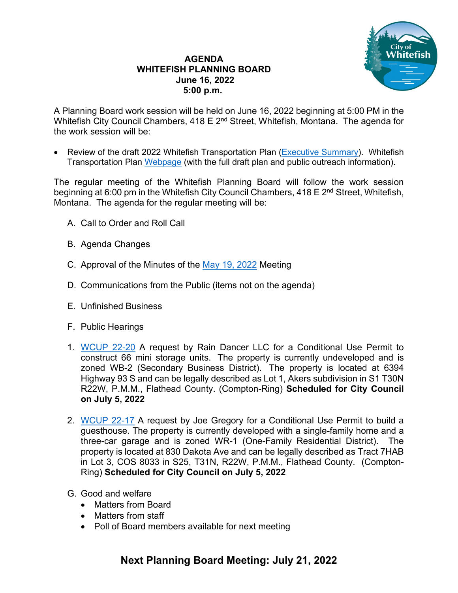## **AGENDA WHITEFISH PLANNING BOARD June 16, 2022 5:00 p.m.**



A Planning Board work session will be held on June 16, 2022 beginning at 5:00 PM in the Whitefish City Council Chambers, 418 E 2<sup>nd</sup> Street, Whitefish, Montana. The agenda for the work session will be:

• Review of the draft 2022 Whitefish Transportation Plan [\(Executive](https://cityofwhitefishmt.sharepoint.com/:b:/g/documents/ERytpbqqMBJPh6RqVyxDPGkB2yStUs95cmg-xhemB-Z_YQ) Summary). Whitefish Transportation Plan [Webpage](http://whitefish.transportationplan.net/resources/) (with the full draft plan and public outreach information).

The regular meeting of the Whitefish Planning Board will follow the work session beginning at 6:00 pm in the Whitefish City Council Chambers, 418 E 2<sup>nd</sup> Street, Whitefish, Montana. The agenda for the regular meeting will be:

- A. Call to Order and Roll Call
- B. Agenda Changes
- C. Approval of the Minutes of the [May 19, 2022](https://cityofwhitefishmt.sharepoint.com/:b:/g/documents/ESI54xMhG4xDiHF6WPRSW5UBDKL6NydxN1EBkn1lbcwSBA) Meeting
- D. Communications from the Public (items not on the agenda)
- E. Unfinished Business
- F. Public Hearings
- 1. [WCUP 22-20](https://cityofwhitefishmt.sharepoint.com/:f:/g/documents/EkfvGgVZp1lPpiLNO42tPXcBFadk3NCIC5xIVBL2leR9dA) A request by Rain Dancer LLC for a Conditional Use Permit to construct 66 mini storage units. The property is currently undeveloped and is zoned WB-2 (Secondary Business District). The property is located at 6394 Highway 93 S and can be legally described as Lot 1, Akers subdivision in S1 T30N R22W, P.M.M., Flathead County. (Compton-Ring) **Scheduled for City Council on July 5, 2022**
- 2. [WCUP 22-17](https://cityofwhitefishmt.sharepoint.com/:f:/g/documents/EsusHT-KRGdGu9oXHVnoiKABUGwsjaXarDf3puLGwEKR3A) A request by Joe Gregory for a Conditional Use Permit to build a guesthouse. The property is currently developed with a single-family home and a three-car garage and is zoned WR-1 (One-Family Residential District). The property is located at 830 Dakota Ave and can be legally described as Tract 7HAB in Lot 3, COS 8033 in S25, T31N, R22W, P.M.M., Flathead County. (Compton-Ring) **Scheduled for City Council on July 5, 2022**
- G. Good and welfare
	- Matters from Board
	- Matters from staff
	- Poll of Board members available for next meeting